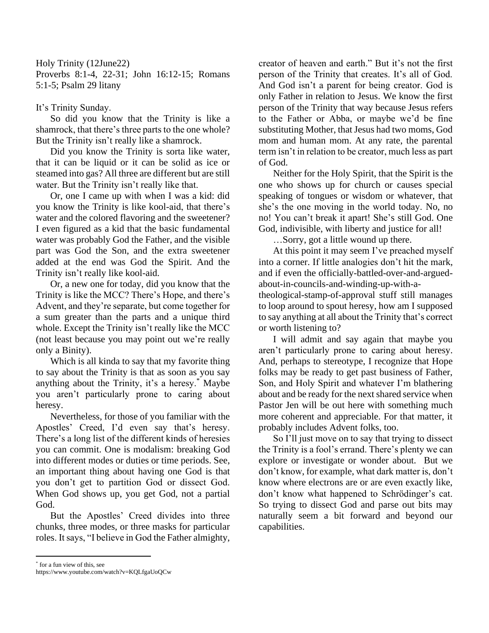Holy Trinity (12June22) Proverbs 8:1-4, 22-31; John 16:12-15; Romans 5:1-5; Psalm 29 litany

## It's Trinity Sunday.

So did you know that the Trinity is like a shamrock, that there's three parts to the one whole? But the Trinity isn't really like a shamrock.

Did you know the Trinity is sorta like water, that it can be liquid or it can be solid as ice or steamed into gas? All three are different but are still water. But the Trinity isn't really like that.

Or, one I came up with when I was a kid: did you know the Trinity is like kool-aid, that there's water and the colored flavoring and the sweetener? I even figured as a kid that the basic fundamental water was probably God the Father, and the visible part was God the Son, and the extra sweetener added at the end was God the Spirit. And the Trinity isn't really like kool-aid.

Or, a new one for today, did you know that the Trinity is like the MCC? There's Hope, and there's Advent, and they're separate, but come together for a sum greater than the parts and a unique third whole. Except the Trinity isn't really like the MCC (not least because you may point out we're really only a Binity).

Which is all kinda to say that my favorite thing to say about the Trinity is that as soon as you say anything about the Trinity, it's a heresy.\* Maybe you aren't particularly prone to caring about heresy.

Nevertheless, for those of you familiar with the Apostles' Creed, I'd even say that's heresy. There's a long list of the different kinds of heresies you can commit. One is modalism: breaking God into different modes or duties or time periods. See, an important thing about having one God is that you don't get to partition God or dissect God. When God shows up, you get God, not a partial God.

But the Apostles' Creed divides into three chunks, three modes, or three masks for particular roles. It says, "I believe in God the Father almighty, creator of heaven and earth." But it's not the first person of the Trinity that creates. It's all of God. And God isn't a parent for being creator. God is only Father in relation to Jesus. We know the first person of the Trinity that way because Jesus refers to the Father or Abba, or maybe we'd be fine substituting Mother, that Jesus had two moms, God mom and human mom. At any rate, the parental term isn't in relation to be creator, much less as part of God.

Neither for the Holy Spirit, that the Spirit is the one who shows up for church or causes special speaking of tongues or wisdom or whatever, that she's the one moving in the world today. No, no no! You can't break it apart! She's still God. One God, indivisible, with liberty and justice for all!

…Sorry, got a little wound up there.

At this point it may seem I've preached myself into a corner. If little analogies don't hit the mark, and if even the officially-battled-over-and-arguedabout-in-councils-and-winding-up-with-atheological-stamp-of-approval stuff still manages to loop around to spout heresy, how am I supposed to say anything at all about the Trinity that's correct or worth listening to?

I will admit and say again that maybe you aren't particularly prone to caring about heresy. And, perhaps to stereotype, I recognize that Hope folks may be ready to get past business of Father, Son, and Holy Spirit and whatever I'm blathering about and be ready for the next shared service when Pastor Jen will be out here with something much more coherent and appreciable. For that matter, it probably includes Advent folks, too.

So I'll just move on to say that trying to dissect the Trinity is a fool's errand. There's plenty we can explore or investigate or wonder about. But we don't know, for example, what dark matter is, don't know where electrons are or are even exactly like, don't know what happened to Schrödinger's cat. So trying to dissect God and parse out bits may naturally seem a bit forward and beyond our capabilities.

\* for a fun view of this, see

https://www.youtube.com/watch?v=KQLfgaUoQCw